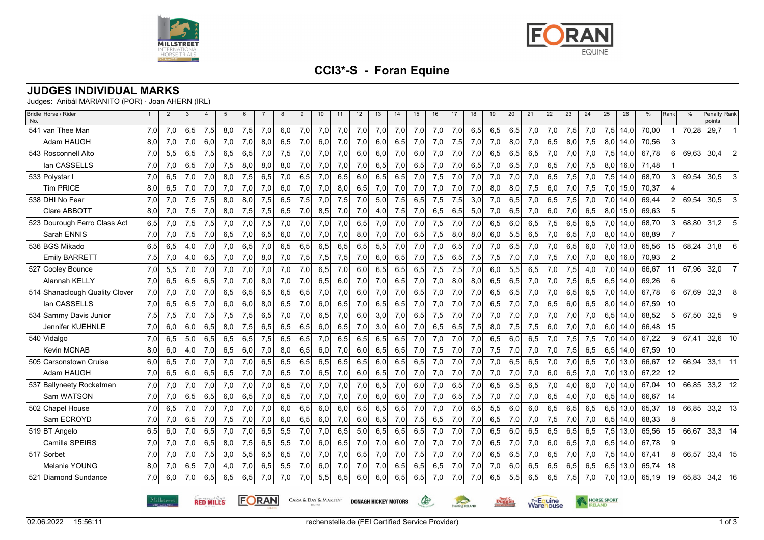



# **CCI3\*-S - Foran Equine**

### **JUDGES INDIVIDUAL MARKS**

Judges: Anibál MARIANITO (POR) · Joan AHERN (IRL)

| Bridle Horse / Rider<br>No.    |                                                                                               | $\overline{2}$ | 3   | $\overline{4}$ | 5   | 6   |     | 8   | 9   | 10  | 11  | 12  | 13  | 14              | 15  | 16  | 17  | 18  | 19                      | 20  | 21     | 22                 | 23  | 24  | 25  | 26   | %        | Rank           | %        | Penalty Rank<br>points |
|--------------------------------|-----------------------------------------------------------------------------------------------|----------------|-----|----------------|-----|-----|-----|-----|-----|-----|-----|-----|-----|-----------------|-----|-----|-----|-----|-------------------------|-----|--------|--------------------|-----|-----|-----|------|----------|----------------|----------|------------------------|
| 541 van Thee Man               | 7,0                                                                                           | 7,0            | 6,5 | 7,5            | 8,0 | 7,5 | 7,0 | 6,0 | 7,0 | 7,0 | 7,0 | 7,0 | 7,0 | 7,0             | 7,0 | 7,0 | 7,0 | 6,5 | 6,5                     | 6,5 | 7,0    | 7,0                | 7,5 | 7,0 | 7,5 | 14,0 | 70,00    | $\overline{1}$ | 70,28    | 29,7                   |
| Adam HAUGH                     | 8,0                                                                                           | 7,0            | 7,0 | 6,0            | 7,0 | 7,0 | 8,0 | 6,5 | 7,0 | 6,0 | 7,0 | 7,0 | 6,0 | 6,5             | 7,0 | 7,0 | 7,5 | 7,0 | 7,0                     | 8,0 | 7,0    | 6,5                | 8,0 | 7,5 | 8,0 | 14,0 | 70,56    | 3              |          |                        |
| 543 Rosconnell Alto            | 7,0                                                                                           | 5,5            | 6,5 | 7,5            | 6,5 | 6,5 | 7,0 | 7,5 | 7,0 | 7,0 | 7,0 | 6,0 | 6,0 | 7,0             | 6,0 | 7,0 | 7,0 | 7,0 | 6,5                     | 6,5 | 6,5    | 7,0                | 7,0 | 7,0 | 7,5 | 14,0 | 67,78    | 6              | 69,63    | 30,4                   |
| lan CASSELLS                   | 7,0                                                                                           | 7,0            | 6,5 | 7,0            | 7,5 | 8,0 | 8,0 | 8,0 | 7,0 | 7,0 | 7,0 | 7,0 | 6,5 | 7,0             | 6,5 | 7,0 | 7,0 | 6,5 | 7,0                     | 6,5 | 7,0    | 6,5                | 7,0 | 7,5 | 8,0 | 16,0 | 71,48    |                |          |                        |
| 533 Polystar I                 | 7,0                                                                                           | 6,5            | 7,0 | 7,0            | 8,0 | 7,5 | 6,5 | 7,0 | 6,5 | 7,0 | 6,5 | 6,0 | 6,5 | 6,5             | 7,0 | 7,5 | 7,0 | 7,0 | 7,0                     | 7,0 | 7,0    | 6,5                | 7,5 | 7,0 | 7,5 | 14,0 | 68,70    | 3              | 69,54    | 30,5<br>3              |
| <b>Tim PRICE</b>               | 8,0                                                                                           | 6,5            | 7,0 | 7,0            | 7,0 | 7,0 | 7,0 | 6,0 | 7,0 | 7,0 | 8,0 | 6,5 | 7,0 | 7,0             | 7,0 | 7,0 | 7,0 | 7,0 | 8,0                     | 8,0 | 7,5    | 6,0                | 7,0 | 7,5 | 7,0 | 15,0 | 70,37    | $\overline{4}$ |          |                        |
| 538 DHI No Fear                | 7,0                                                                                           | 7,0            | 7,5 | 7,5            | 8,0 | 8,0 | 7,5 | 6,5 | 7,5 | 7,0 | 7,5 | 7,0 | 5,0 | 7,5             | 6,5 | 7,5 | 7,5 | 3,0 | 7,0                     | 6,5 | 7,0    | 6,5                | 7,5 | 7,0 | 7,0 | 14,0 | 69,44    |                | 2 69,54  | 30,5<br>3              |
| Clare ABBOTT                   | 8,0                                                                                           | 7,0            | 7,5 | 7,0            | 8,0 | 7,5 | 7,5 | 6,5 | 7,0 | 8,5 | 7,0 | 7,0 | 4,0 | 7,5             | 7,0 | 6,5 | 6,5 | 5,0 | 7,0                     | 6,5 | 7,0    | 6,0                | 7,0 | 6,5 | 8,0 | 15,0 | 69,63    | 5              |          |                        |
| 523 Dourough Ferro Class Act   | 6,5                                                                                           | 7,0            | 7,5 | 7,5            | 7,0 | 7,0 | 7,5 | 7,0 | 7,0 | 7,0 | 7,0 | 6,5 | 7,0 | 7,0             | 7,0 | 7,5 | 7,0 | 7,0 | 6,5                     | 6,0 | 6,5    | 7,5                | 6,5 | 6,5 | 7,0 | 14.0 | 68,70    | 3              |          | 68,80 31,2             |
| Sarah ENNIS                    | 7,0                                                                                           | 7,0            | 7,5 | 7,0            | 6,5 | 7,0 | 6,5 | 6,0 | 7,0 | 7,0 | 7,0 | 8,0 | 7,0 | 7,0             | 6,5 | 7,5 | 8,0 | 8,0 | 6,0                     | 5,5 | 6,5    | 7,0                | 6,5 | 7,0 | 8,0 | 14,0 | 68,89    |                |          |                        |
| 536 BGS Mikado                 | 6,5                                                                                           | 6,5            | 4,0 | 7,0            | 7,0 | 6,5 | 7,0 | 6,5 | 6,5 | 6,5 | 6,5 | 6,5 | 5,5 | 7,0             | 7,0 | 7,0 | 6,5 | 7,0 | 7,0                     | 6,5 | 7,0    | 7,0                | 6,5 | 6,0 | 7,0 | 13,0 | 65,56    |                | 15 68,24 | 31,8<br>6              |
| <b>Emily BARRETT</b>           | 7,5                                                                                           | 7,0            | 4,0 | 6,5            | 7,0 | 7,0 | 8,0 | 7,0 | 7,5 | 7,5 | 7,5 | 7,0 | 6,0 | 6,5             | 7,0 | 7,5 | 6,5 | 7,5 | 7,5                     | 7,0 | 7,0    | 7,5                | 7,0 | 7,0 | 8,0 | 16,0 | 70,93    | $\overline{2}$ |          |                        |
| 527 Cooley Bounce              | 7,0                                                                                           | 5,5            | 7,0 | 7,0            | 7,0 | 7,0 | 7,0 | 7,0 | 7,0 | 6,5 | 7,0 | 6,0 | 6,5 | 6,5             | 6,5 | 7,5 | 7,5 | 7,0 | 6,0                     | 5,5 | 6,5    | 7,0                | 7,5 | 4,0 | 7,0 | 14.0 | 66.67    | 11             | 67,96    | 32,0                   |
| Alannah KELLY                  | 7,0                                                                                           | 6,5            | 6,5 | 6,5            | 7,0 | 7,0 | 8,0 | 7,0 | 7,0 | 6,5 | 6,0 | 7,0 | 7,0 | 6,5             | 7,0 | 7,0 | 8,0 | 8,0 | 6,5                     | 6,5 | 7,0    | 7,0                | 7,5 | 6,5 | 6,5 | 14,0 | 69,26    | 6              |          |                        |
| 514 Shanaclough Quality Clover | 7,0                                                                                           | 7,0            | 7,0 | 7,0            | 6,5 | 6,5 | 6,5 | 6,5 | 6,5 | 7,0 | 7,0 | 6,0 | 7,0 | 7,0             | 6,5 | 7,0 | 7,0 | 7,0 | 6,5                     | 6,5 | 7,0    | 7,0                | 6,5 | 6,5 | 7,0 | 14,0 | 67,78    | 6              | 67,69    | 32,3<br>8              |
| lan CASSELLS                   | 7,0                                                                                           | 6,5            | 6,5 | 7,0            | 6,0 | 6,0 | 8,0 | 6,5 | 7,0 | 6,0 | 6,5 | 7,0 | 6,5 | 6,5             | 7,0 | 7,0 | 7,0 | 7,0 | 6,5                     | 7,0 | 7,0    | 6,5                | 6,0 | 6,5 | 8,0 | 14,0 | 67,59 10 |                |          |                        |
| 534 Sammy Davis Junior         | 7,5                                                                                           | 7,5            | 7,0 | 7,5            | 7,5 | 7,5 | 6,5 | 7,0 | 7,0 | 6,5 | 7,0 | 6,0 | 3,0 | 7,0             | 6,5 | 7,5 | 7,0 | 7,0 | 7,0                     | 7,0 | 7,0    | 7,0                | 7,0 | 7,0 | 6,5 | 14,0 | 68.52    | $5^{\circ}$    | 67,50    | 32.5<br>9              |
| Jennifer KUEHNLE               | 7,0                                                                                           | 6,0            | 6,0 | 6,5            | 8,0 | 7,5 | 6,5 | 6,5 | 6,5 | 6,0 | 6,5 | 7,0 | 3,0 | 6,0             | 7,0 | 6,5 | 6,5 | 7,5 | 8,0                     | 7,5 | 7,5    | 6,0                | 7,0 | 7,0 | 6,0 | 14,0 | 66,48    | 15             |          |                        |
| 540 Vidalgo                    | 7,0                                                                                           | 6,5            | 5,0 | 6,5            | 6,5 | 6,5 | 7,5 | 6,5 | 6,5 | 7,0 | 6,5 | 6,5 | 6,5 | 6,5             | 7,0 | 7,0 | 7,0 | 7,0 | 6,5                     | 6,0 | 6,5    | 7,0                | 7,5 | 7,5 | 7,0 | 14,0 | 67,22    | 9              | 67,41    | 32,6 10                |
| Kevin MCNAB                    | 8,0                                                                                           | 6,0            | 4,0 | 7,0            | 6,5 | 6,0 | 7,0 | 8,0 | 6,5 | 6,0 | 7,0 | 6,0 | 6,5 | 6,5             | 7,0 | 7,5 | 7,0 | 7,0 | 7,5                     | 7,0 | 7,0    | 7,0                | 7,5 | 6,5 | 6,5 | 14,0 | 67,59    | - 10           |          |                        |
| 505 Carsonstown Cruise         | 6,0                                                                                           | 6,5            | 7,0 | 7,0            | 7,0 | 7,0 | 6,5 | 6,5 | 6,5 | 6,5 | 6,5 | 6,5 | 6,0 | 6,5             | 6,5 | 7,0 | 7,0 | 7,0 | 7,0                     | 6,5 | 6,5    | 7,0                | 7,0 | 6,5 | 7,0 | 13,0 | 66,67    |                | 12 66,94 | 33,1 11                |
| Adam HAUGH                     | 7,0                                                                                           | 6,5            | 6,0 | 6,5            | 6,5 | 7,0 | 7,0 | 6,5 | 7,0 | 6,5 | 7,0 | 6,0 | 6,5 | 7,0             | 7,0 | 7,0 | 7,0 | 7,0 | 7,0                     | 7,0 | 7,0    | 6,0                | 6,5 | 7,0 | 7,0 | 13,0 | 67,22 12 |                |          |                        |
| 537 Ballyneety Rocketman       | 7,0                                                                                           | 7,0            | 7,0 | 7,0            | 7,0 | 7,0 | 7,0 | 6,5 | 7,0 | 7,0 | 7,0 | 7,0 | 6,5 | 7,0             | 6,0 | 7,0 | 6,5 | 7,0 | 6,5                     | 6,5 | 6,5    | 7,0                | 4,0 | 6,0 | 7,0 | 14,0 | 67,04    | 10             | 66,85    | 33,2 12                |
| Sam WATSON                     | 7,0                                                                                           | 7,0            | 6,5 | 6,5            | 6,0 | 6,5 | 7,0 | 6,5 | 7,0 | 7,0 | 7,0 | 7,0 | 6,0 | 6,0             | 7,0 | 7,0 | 6,5 | 7,5 | 7,0                     | 7,0 | 7,0    | 6,5                | 4,0 | 7,0 | 6,5 | 14,0 | 66.67    | - 14           |          |                        |
| 502 Chapel House               | 7,0                                                                                           | 6,5            | 7,0 | 7,0            | 7,0 | 7,0 | 7,0 | 6,0 | 6,5 | 6,0 | 6,0 | 6,5 | 6,5 | 6,5             | 7,0 | 7,0 | 7,0 | 6,5 | 5,5                     | 6,0 | 6,0    | 6,5                | 6,5 | 6,5 | 6,5 | 13,0 | 65,37    | 18             | 66,85    | 33,2 13                |
| Sam ECROYD                     | 7,0                                                                                           | 7,0            | 6,5 | 7,0            | 7,5 | 7,0 | 7,0 | 6,0 | 6,5 | 6,0 | 7,0 | 6,0 | 6,5 | 7,0             | 7,5 | 6,5 | 7,0 | 7,0 | 6,5                     | 7,0 | 7,0    | 7,5                | 7,0 | 7,0 | 6,5 | 14,0 | 68,33    | 8              |          |                        |
| 519 BT Angelo                  | 6,5                                                                                           | 6,0            | 7,0 | 6,5            | 7,0 | 7,0 | 6,5 | 5,5 | 7,0 | 7,0 | 6,5 | 5,0 | 6,5 | 6,5             | 6,5 | 7,0 | 7,0 | 7,0 | 6,5                     | 6,0 | 6,5    | 6,5                | 6,5 | 6,5 | 7,5 | 13,0 | 65,56    | 15             | 66,67    | 33,3 14                |
| Camilla SPEIRS                 | 7,0                                                                                           | 7,0            | 7,0 | 6,5            | 8,0 | 7,5 | 6,5 | 5,5 | 7,0 | 6,0 | 6,5 | 7,0 | 7,0 | 6,0             | 7,0 | 7,0 | 7,0 | 7,0 | 6,5                     | 7,0 | 7,0    | 6,0                | 6,5 | 7,0 | 6,5 | 14,0 | 67,78    | 9              |          |                        |
| 517 Sorbet                     | 7,0                                                                                           | 7,0            | 7,0 | 7,5            | 3,0 | 5,5 | 6,5 | 6,5 | 7,0 | 7,0 | 7,0 | 6,5 | 7,0 | 7,0             | 7,5 | 7,0 | 7,0 | 7,0 | 6,5                     | 6,5 | 7,0    | 6,5                | 7,0 | 7,0 | 7,5 | 14,0 | 67,41    | 8              | 66,57    | 33,4 15                |
| Melanie YOUNG                  | 8,0                                                                                           | 7,0            | 6,5 | 7,0            | 4,0 | 7,0 | 6,5 | 5,5 | 7,0 | 6,0 | 7,0 | 7,0 | 7,0 | 6,5             | 6,5 | 6,5 | 7,0 | 7,0 | 7,0                     | 6,0 | 6,5    | 6,5                | 6,5 | 6,5 | 6,5 | 13,0 | 65,74    | 18             |          |                        |
| 521 Diamond Sundance           | 7,0                                                                                           | 6.0            | 7,0 | 6.5            | 6.5 | 6.5 | 7,0 | 7,0 | 7,0 | 5,5 | 6,5 | 6.0 | 6.0 | 6,5             | 6,5 | 7,0 | 7,0 | 7,0 | 6,5                     | 5,5 | 6,5    | 6,5                | 7,5 | 7,0 | 7,0 | 13,0 | 65,19    |                |          | 19 65,83 34,2 16       |
|                                | <b>FORAN</b><br><b>RED MILLS</b><br>CARR & DAY & MARTIN'<br>65<br><b>DONAGH HICKEY MOTORS</b> |                |     |                |     |     |     |     |     |     |     |     |     | Eventing RELAND |     |     |     |     | The Equine<br>Ware ouse |     | RELAND | <b>HORSE SPORT</b> |     |     |     |      |          |                |          |                        |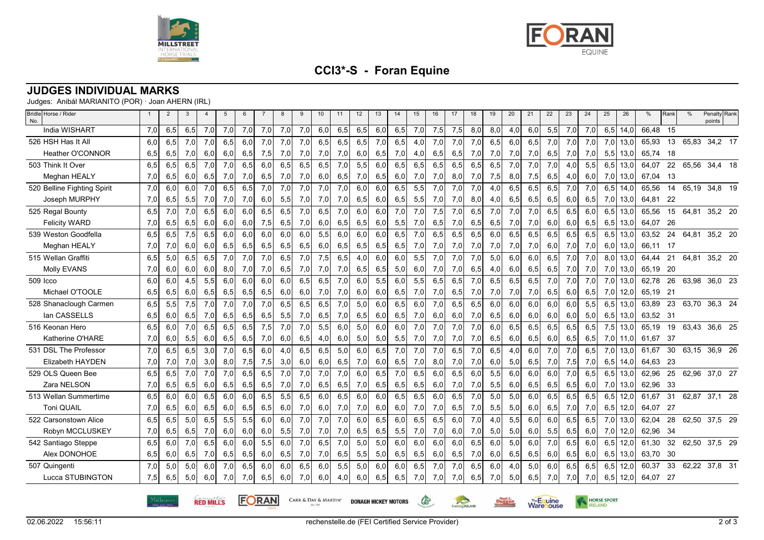



HORSE SPORT

**Warehouse** 

**Duggan** 

## **CCI3\*-S - Foran Equine**

#### **JUDGES INDIVIDUAL MARKS**

Judges: Anibál MARIANITO (POR) · Joan AHERN (IRL)

| Bridle Horse / Rider<br>No. |     | $\overline{2}$ | 3   | $\overline{4}$ | 5   | 6   | -7  | 8   | 9   | 10  | 11  | 12  | 13  | 14  | 15  | 16  | 17  | 18  | 19  | 20  | 21  | 22  | 23  | 24  | 25  | 26   | %        | Rank | $\%$  | Penalty Rank<br>points |  |
|-----------------------------|-----|----------------|-----|----------------|-----|-----|-----|-----|-----|-----|-----|-----|-----|-----|-----|-----|-----|-----|-----|-----|-----|-----|-----|-----|-----|------|----------|------|-------|------------------------|--|
| <b>India WISHART</b>        | 7,0 | 6,5            | 6,5 | 7,0            | 7,0 | 7,0 | 7,0 | 7,0 | 7,0 | 6,0 | 6,5 | 6,5 | 6,0 | 6,5 | 7,0 | 7,5 | 7,5 | 8,0 | 8,0 | 4,0 | 6,0 | 5,5 | 7,0 | 7,0 | 6,5 | 14,0 | 66.48    | 15   |       |                        |  |
| 526 HSH Has It All          | 6,0 | 6,5            | 7,0 | 7,0            | 6,5 | 6,0 | 7,0 | 7,0 | 7,0 | 6,5 | 6,5 | 6,5 | 7,0 | 6,5 | 4,0 | 7,0 | 7,0 | 7,0 | 6,5 | 6,0 | 6,5 | 7,0 | 7,0 | 7,0 | 7,0 | 13,0 | 65,93    | 13   |       | 65,83 34,2 17          |  |
| <b>Heather O'CONNOR</b>     | 6,5 | 6,5            | 7,0 | 6,0            | 6,0 | 6,5 | 7,5 | 7,0 | 7,0 | 7,0 | 7,0 | 6,0 | 6,5 | 7,0 | 4,0 | 6,5 | 6,5 | 7,0 | 7,0 | 7,0 | 7,0 | 6,5 | 7,0 | 7,0 | 5,5 | 13,0 | 65,74 18 |      |       |                        |  |
| 503 Think It Over           | 6.5 | 6,5            | 6,5 | 7,0            | 7,0 | 6,5 | 6.0 | 6,5 | 6,5 | 6,5 | 7,0 | 5,5 | 6.0 | 6,5 | 6,5 | 6,5 | 6,5 | 6,5 | 6,5 | 7,0 | 7,0 | 7,0 | 4.0 | 5.5 | 6,5 | 13.0 | 64.07    | 22   |       | 65,56 34,4 18          |  |
| Meghan HEALY                | 7,0 | 6,5            | 6,0 | 6,5            | 7,0 | 7,0 | 6,5 | 7,0 | 7,0 | 6,0 | 6,5 | 7,0 | 6,5 | 6,0 | 7,0 | 7,0 | 8,0 | 7,0 | 7,5 | 8,0 | 7,5 | 6,5 | 4,0 | 6,0 | 7,0 | 13,0 | 67,04 13 |      |       |                        |  |
| 520 Belline Fighting Spirit | 7,0 | 6,0            | 6,0 | 7,0            | 6,5 | 6,5 | 7,0 | 7,0 | 7,0 | 7,0 | 7,0 | 6,0 | 6,0 | 6,5 | 5,5 | 7,0 | 7,0 | 7,0 | 4,0 | 6,5 | 6,5 | 6,5 | 7,0 | 7,0 | 6,5 | 14,0 | 65,56    |      |       | 14 65,19 34,8 19       |  |
| Joseph MURPHY               | 7,0 | 6,5            | 5,5 | 7,0            | 7,0 | 7,0 | 6,0 | 5,5 | 7,0 | 7,0 | 7,0 | 6,5 | 6,0 | 6,5 | 5,5 | 7,0 | 7,0 | 8,0 | 4,0 | 6,5 | 6,5 | 6,5 | 6,0 | 6,5 | 7,0 | 13,0 | 64,81    | -22  |       |                        |  |
| 525 Regal Bounty            | 6.5 | 7,0            | 7,0 | 6,5            | 6.0 | 6.0 | 6,5 | 6,5 | 7,0 | 6,5 | 7,0 | 6,0 | 6.0 | 7,0 | 7,0 | 7,5 | 7,0 | 6,5 | 7,0 | 7,0 | 7,0 | 6,5 | 6,5 | 6.0 | 6,5 | 13.0 | 65,56    | 15   | 64,81 | 35,2 20                |  |
| <b>Felicity WARD</b>        | 7,0 | 6,5            | 6,5 | 6,0            | 6,0 | 6,0 | 7,5 | 6,5 | 7,0 | 6,0 | 6,5 | 6,5 | 6,0 | 5,5 | 7,0 | 6,5 | 7,0 | 6,5 | 6,5 | 7,0 | 7,0 | 6,0 | 6,0 | 6,5 | 6,5 | 13,0 | 64,07    | 26   |       |                        |  |
| 539 Weston Goodfella        | 6,5 | 6,5            | 7,5 | 6,5            | 6,0 | 6,0 | 6,0 | 6,0 | 6,0 | 5,5 | 6,0 | 6,0 | 6,0 | 6,5 | 7,0 | 6,5 | 6,5 | 6,5 | 6,0 | 6,5 | 6,5 | 6,5 | 6,5 | 6,5 | 6,5 | 13,0 | 63,52    | 24   | 64,81 | 35,2 20                |  |
| Meghan HEALY                | 7,0 | 7,0            | 6,0 | 6,0            | 6,5 | 6,5 | 6,5 | 6,5 | 6,5 | 6,0 | 6,5 | 6,5 | 6,5 | 6,5 | 7,0 | 7,0 | 7,0 | 7,0 | 7,0 | 7,0 | 7,0 | 6,0 | 7,0 | 7,0 | 6,0 | 13,0 | 66.11 17 |      |       |                        |  |
| 515 Wellan Graffiti         | 6.5 | 5,0            | 6,5 | 6,5            | 7,0 | 7,0 | 7,0 | 6,5 | 7,0 | 7,5 | 6,5 | 4,0 | 6,0 | 6,0 | 5,5 | 7,0 | 7,0 | 7,0 | 5,0 | 6,0 | 6,0 | 6,5 | 7,0 | 7,0 | 8.0 | 13.0 | 64.44    | 21   | 64.81 | 35,2 20                |  |
| Molly EVANS                 | 7,0 | 6,0            | 6,0 | 6,0            | 8,0 | 7,0 | 7,0 | 6,5 | 7,0 | 7,0 | 7,0 | 6,5 | 6,5 | 5,0 | 6,0 | 7,0 | 7,0 | 6,5 | 4,0 | 6,0 | 6,5 | 6,5 | 7,0 | 7,0 | 7,0 | 13,0 | 65,19    | -20  |       |                        |  |
| 509 Icco                    | 6.0 | 6,0            | 4,5 | 5,5            | 6.0 | 6.0 | 6,0 | 6,0 | 6,5 | 6,5 | 7,0 | 6,0 | 5,5 | 6,0 | 5,5 | 6,5 | 6,5 | 7,0 | 6,5 | 6,5 | 6,5 | 7,0 | 7,0 | 7,0 | 7,0 | 13,0 | 62,78    | 26   | 63,98 | 36,0 23                |  |
| Michael O'TOOLE             | 6,5 | 6,5            | 6,0 | 6,5            | 6,5 | 6,5 | 6,5 | 6,0 | 6,0 | 7,0 | 7,0 | 6,0 | 6,0 | 6,5 | 7,0 | 7,0 | 6,5 | 7,0 | 7,0 | 7,0 | 7,0 | 6,5 | 6,0 | 6,5 | 7,0 | 12,0 | 65,19    | 21   |       |                        |  |
| 528 Shanaclough Carmen      | 6,5 | 5,5            | 7,5 | 7,0            | 7,0 | 7,0 | 7,0 | 6,5 | 6,5 | 6,5 | 7,0 | 5,0 | 6,0 | 6,5 | 6,0 | 7,0 | 6,5 | 6,5 | 6,0 | 6,0 | 6,0 | 6,0 | 6,0 | 5,5 | 6.5 | 13.0 | 63,89    | 23   | 63,70 | 36,3 24                |  |
| lan CASSELLS                | 6,5 | 6,0            | 6,5 | 7,0            | 6,5 | 6,5 | 6,5 | 5,5 | 7,0 | 6,5 | 7,0 | 6,5 | 6,0 | 6,5 | 7,0 | 6,0 | 6,0 | 7,0 | 6,5 | 6,0 | 6,0 | 6,0 | 6,0 | 5,0 | 6,5 | 13,0 | 63,52 31 |      |       |                        |  |
| 516 Keonan Hero             | 6,5 | 6,0            | 7,0 | 6.5            | 6,5 | 6,5 | 7,5 | 7,0 | 7,0 | 5,5 | 6,0 | 5,0 | 6,0 | 6,0 | 7,0 | 7,0 | 7,0 | 7,0 | 6,0 | 6,5 | 6,5 | 6,5 | 6,5 | 6,5 | 7,5 | 13,0 | 65,19    | 19   | 63,43 | 36,6 25                |  |
| Katherine O'HARE            | 7,0 | 6,0            | 5,5 | 6,0            | 6,5 | 6,5 | 7,0 | 6,0 | 6,5 | 4,0 | 6,0 | 5,0 | 5,0 | 5,5 | 7,0 | 7,0 | 7,0 | 7,0 | 6,5 | 6,0 | 6,5 | 6,0 | 6,5 | 6,5 | 7,0 | 11,0 | 61,67    | -37  |       |                        |  |
| 531 DSL The Professor       | 7.0 | 6.5            | 6.5 | 3.0            | 7,0 | 6,5 | 6.0 | 4,0 | 6,5 | 6,5 | 5,0 | 6.0 | 6,5 | 7,0 | 7,0 | 7,0 | 6,5 | 7,0 | 6,5 | 4.0 | 6.0 | 7,0 | 7.0 | 6.5 | 7.0 | 13.0 | 61.67    | 30   |       | 63,15 36,9 26          |  |
| Elizabeth HAYDEN            | 7,0 | 7,0            | 7,0 | 3,0            | 8,0 | 7,5 | 7,5 | 3,0 | 6,0 | 6,0 | 6,5 | 7,0 | 6,0 | 6,5 | 7,0 | 8,0 | 7,0 | 7,0 | 6,0 | 5,0 | 6,5 | 7,0 | 7,5 | 7,0 | 6,5 | 14,0 | 64,63    | - 23 |       |                        |  |
| 529 OLS Queen Bee           | 6,5 | 6,5            | 7,0 | 7,0            | 7,0 | 6,5 | 6,5 | 7,0 | 7,0 | 7,0 | 7,0 | 6,0 | 6,5 | 7,0 | 6,5 | 6,0 | 6,5 | 6,0 | 5,5 | 6,0 | 6,0 | 6,0 | 7,0 | 6,5 | 6,5 | 13,0 | 62,96    | 25   | 62,96 | 37,0 27                |  |
| Zara NELSON                 | 7,0 | 6,5            | 6,5 | 6,0            | 6,5 | 6,5 | 6,5 | 7,0 | 7,0 | 6,5 | 6,5 | 7,0 | 6,5 | 6,5 | 6,5 | 6,0 | 7,0 | 7,0 | 5,5 | 6,0 | 6,5 | 6,5 | 6,5 | 6,0 | 7,0 | 13,0 | 62,96 33 |      |       |                        |  |
| 513 Wellan Summertime       | 6,5 | 6.0            | 6.0 | 6,5            | 6.0 | 6,0 | 6,5 | 5,5 | 6,5 | 6,0 | 6,5 | 6,0 | 6,0 | 6,5 | 6,5 | 6,0 | 6,5 | 7,0 | 5,0 | 5,0 | 6,0 | 6,5 | 6,5 | 6,5 | 6,5 | 12,0 | 61.67    | 31   |       | 62,87 37,1 28          |  |
| Toni QUAIL                  | 7,0 | 6,5            | 6,0 | 6,5            | 6,0 | 6,5 | 6,5 | 6,0 | 7,0 | 6,0 | 7,0 | 7,0 | 6,0 | 6,0 | 7,0 | 7,0 | 6,5 | 7,0 | 5,5 | 5,0 | 6,0 | 6,5 | 7,0 | 7,0 | 6,5 | 12,0 | 64,07 27 |      |       |                        |  |
| 522 Carsonstown Alice       | 6,5 | 6,5            | 5,0 | 6,5            | 5,5 | 5,5 | 6,0 | 6,0 | 7,0 | 7,0 | 7,0 | 6.0 | 6,5 | 6,0 | 6,5 | 6,5 | 6,0 | 7,0 | 4,0 | 5,5 | 6,0 | 6,0 | 6,5 | 6,5 | 7,0 | 13,0 | 62,04    | 28   |       | 62,50 37,5 29          |  |
| Robyn MCCLUSKEY             | 7,0 | 6,5            | 6,5 | 7,0            | 6,0 | 6,0 | 6,0 | 5,5 | 7,0 | 7,0 | 7,0 | 6,5 | 6,5 | 5,5 | 7,0 | 7,0 | 6,0 | 7,0 | 5,0 | 5,0 | 6,0 | 5,5 | 6,5 | 6,0 | 7,0 | 12,0 | 62,96    | - 34 |       |                        |  |
| 542 Santiago Steppe         | 6.5 | 6.0            | 7,0 | 6.5            | 6.0 | 6,0 | 5,5 | 6,0 | 7,0 | 6,5 | 7,0 | 5,0 | 5,0 | 6.0 | 6.0 | 6.0 | 6.0 | 6,5 | 6.0 | 5.0 | 6.0 | 7,0 | 6,5 | 6.0 | 6.5 | 12.0 | 61.30    | 32   |       | 62,50 37,5 29          |  |
| Alex DONOHOE                | 6,5 | 6,0            | 6,5 | 7,0            | 6,5 | 6,5 | 6,0 | 6,5 | 7,0 | 7,0 | 6,5 | 5,5 | 5,0 | 6,5 | 6,5 | 6,0 | 6,5 | 7,0 | 6,0 | 6,5 | 6,5 | 6,0 | 6,5 | 6,0 | 6,5 | 13,0 | 63,70 30 |      |       |                        |  |
| 507 Quingenti               | 7,0 | 5,0            | 5,0 | 6,0            | 7,0 | 6,5 | 6,0 | 6,0 | 6,5 | 6,0 | 5,5 | 5,0 | 6,0 | 6,0 | 6,5 | 7,0 | 7,0 | 6,5 | 6,0 | 4,0 | 5,0 | 6,0 | 6,5 | 6,5 | 6,5 | 12,0 | 60,37    | 33   | 62,22 | 37,8 31                |  |
| Lucca STUBINGTON            | 7,5 | 6,5            | 5,0 | 6,0            | 7,0 | 7,0 | 6,5 | 6,0 | 7,0 | 6,0 | 4,0 | 6,0 | 6,5 | 6,5 | 7,0 | 7,0 | 7,0 | 6,5 | 7,0 | 5,0 | 6,5 | 7,0 | 7,0 | 7,0 | 6,5 | 12,0 | 64,07    | -27  |       |                        |  |

02.06.2022 15:56:11

 $\mathbb{G}$ 

Eventing RELAND

**CARR & DAY & MARTIN' DONAGH HICKEY MOTORS** 

**FORAN** 

**RED MILLS**